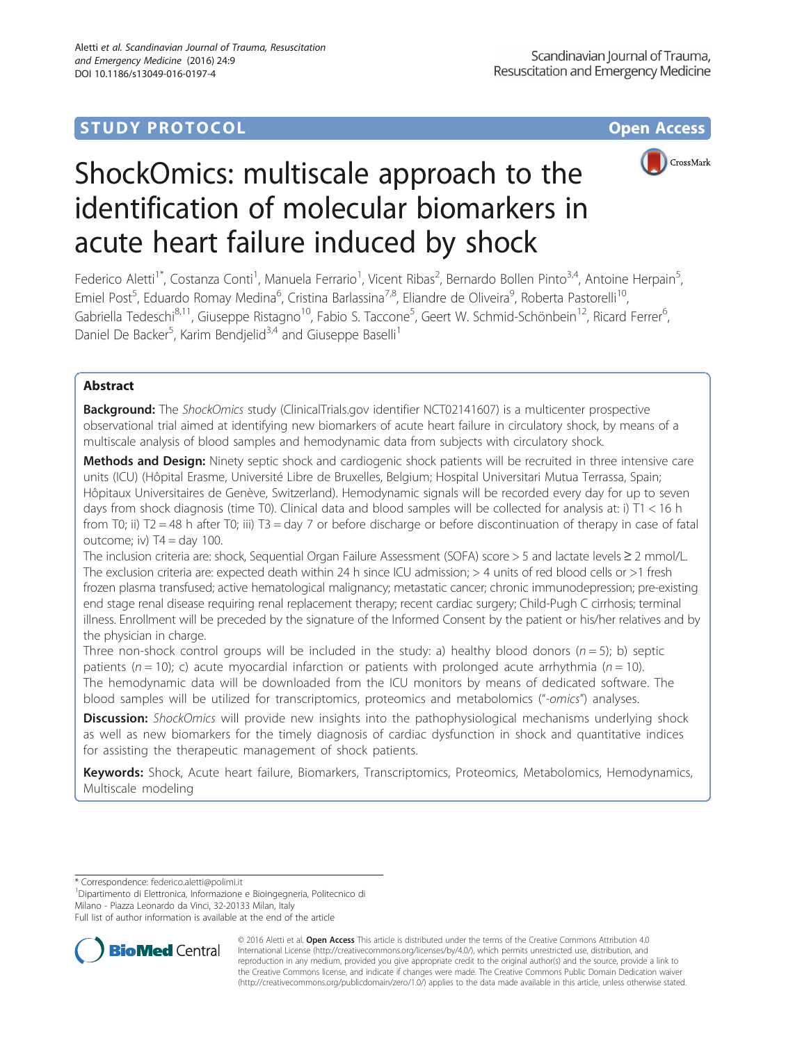## **STUDY PROTOCOL CONSUMING THE CONSUMING OPEN ACCESS**



# ShockOmics: multiscale approach to the identification of molecular biomarkers in acute heart failure induced by shock

Federico Aletti<sup>1\*</sup>, Costanza Conti<sup>1</sup>, Manuela Ferrario<sup>1</sup>, Vicent Ribas<sup>2</sup>, Bernardo Bollen Pinto<sup>3,4</sup>, Antoine Herpain<sup>5</sup> , Emiel Post<sup>5</sup>, Eduardo Romay Medina<sup>6</sup>, Cristina Barlassina<sup>7,8</sup>, Eliandre de Oliveira<sup>9</sup>, Roberta Pastorelli<sup>10</sup>, Gabriella Tedeschi<sup>8,11</sup>, Giuseppe Ristagno<sup>10</sup>, Fabio S. Taccone<sup>5</sup>, Geert W. Schmid-Schönbein<sup>12</sup>, Ricard Ferrer<sup>6</sup> י<br>, Daniel De Backer<sup>5</sup>, Karim Bendjelid<sup>3,4</sup> and Giuseppe Baselli<sup>1</sup>

## Abstract

**Background:** The ShockOmics study (ClinicalTrials.gov identifier NCT02141607) is a multicenter prospective observational trial aimed at identifying new biomarkers of acute heart failure in circulatory shock, by means of a multiscale analysis of blood samples and hemodynamic data from subjects with circulatory shock.

Methods and Design: Ninety septic shock and cardiogenic shock patients will be recruited in three intensive care units (ICU) (Hôpital Erasme, Université Libre de Bruxelles, Belgium; Hospital Universitari Mutua Terrassa, Spain; Hôpitaux Universitaires de Genève, Switzerland). Hemodynamic signals will be recorded every day for up to seven days from shock diagnosis (time T0). Clinical data and blood samples will be collected for analysis at: i) T1 < 16 h from T0; ii) T2 = 48 h after T0; iii) T3 = day 7 or before discharge or before discontinuation of therapy in case of fatal outcome; iv)  $T4 = day 100$ .

The inclusion criteria are: shock, Sequential Organ Failure Assessment (SOFA) score > 5 and lactate levels ≥ 2 mmol/L. The exclusion criteria are: expected death within 24 h since ICU admission; > 4 units of red blood cells or >1 fresh frozen plasma transfused; active hematological malignancy; metastatic cancer; chronic immunodepression; pre-existing end stage renal disease requiring renal replacement therapy; recent cardiac surgery; Child-Pugh C cirrhosis; terminal illness. Enrollment will be preceded by the signature of the Informed Consent by the patient or his/her relatives and by the physician in charge.

Three non-shock control groups will be included in the study: a) healthy blood donors  $(n = 5)$ ; b) septic patients ( $n = 10$ ); c) acute myocardial infarction or patients with prolonged acute arrhythmia ( $n = 10$ ). The hemodynamic data will be downloaded from the ICU monitors by means of dedicated software. The blood samples will be utilized for transcriptomics, proteomics and metabolomics ("-omics") analyses.

Discussion: ShockOmics will provide new insights into the pathophysiological mechanisms underlying shock as well as new biomarkers for the timely diagnosis of cardiac dysfunction in shock and quantitative indices for assisting the therapeutic management of shock patients.

Keywords: Shock, Acute heart failure, Biomarkers, Transcriptomics, Proteomics, Metabolomics, Hemodynamics, Multiscale modeling

\* Correspondence: [federico.aletti@polimi.it](mailto:federico.aletti@polimi.it) <sup>1</sup>

Dipartimento di Elettronica, Informazione e Bioingegneria, Politecnico di

Milano - Piazza Leonardo da Vinci, 32-20133 Milan, Italy

Full list of author information is available at the end of the article



© 2016 Aletti et al. Open Access This article is distributed under the terms of the Creative Commons Attribution 4.0 International License [\(http://creativecommons.org/licenses/by/4.0/](http://creativecommons.org/licenses/by/4.0/)), which permits unrestricted use, distribution, and reproduction in any medium, provided you give appropriate credit to the original author(s) and the source, provide a link to the Creative Commons license, and indicate if changes were made. The Creative Commons Public Domain Dedication waiver [\(http://creativecommons.org/publicdomain/zero/1.0/](http://creativecommons.org/publicdomain/zero/1.0/)) applies to the data made available in this article, unless otherwise stated.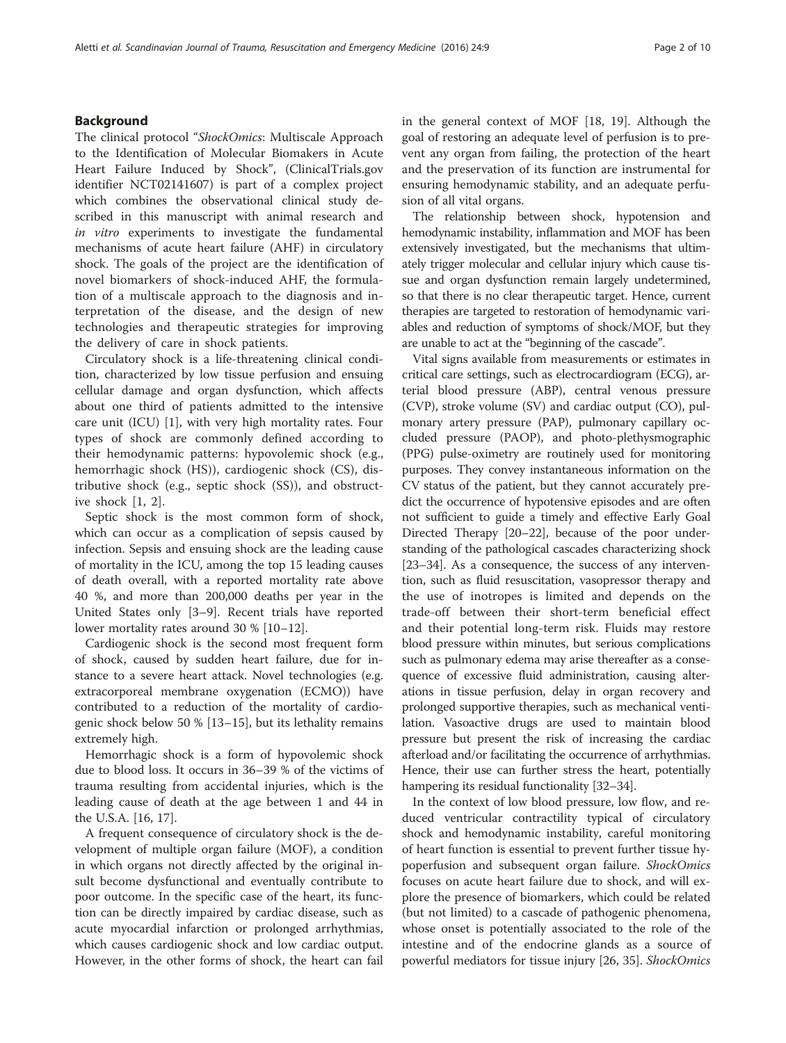#### Background

The clinical protocol "ShockOmics: Multiscale Approach to the Identification of Molecular Biomakers in Acute Heart Failure Induced by Shock", (ClinicalTrials.gov identifier NCT02141607) is part of a complex project which combines the observational clinical study described in this manuscript with animal research and in vitro experiments to investigate the fundamental mechanisms of acute heart failure (AHF) in circulatory shock. The goals of the project are the identification of novel biomarkers of shock-induced AHF, the formulation of a multiscale approach to the diagnosis and interpretation of the disease, and the design of new technologies and therapeutic strategies for improving the delivery of care in shock patients.

Circulatory shock is a life-threatening clinical condition, characterized by low tissue perfusion and ensuing cellular damage and organ dysfunction, which affects about one third of patients admitted to the intensive care unit (ICU) [[1\]](#page-8-0), with very high mortality rates. Four types of shock are commonly defined according to their hemodynamic patterns: hypovolemic shock (e.g., hemorrhagic shock (HS)), cardiogenic shock (CS), distributive shock (e.g., septic shock (SS)), and obstructive shock [\[1, 2\]](#page-8-0).

Septic shock is the most common form of shock, which can occur as a complication of sepsis caused by infection. Sepsis and ensuing shock are the leading cause of mortality in the ICU, among the top 15 leading causes of death overall, with a reported mortality rate above 40 %, and more than 200,000 deaths per year in the United States only [[3](#page-8-0)–[9\]](#page-8-0). Recent trials have reported lower mortality rates around 30 % [[10](#page-8-0)–[12](#page-8-0)].

Cardiogenic shock is the second most frequent form of shock, caused by sudden heart failure, due for instance to a severe heart attack. Novel technologies (e.g. extracorporeal membrane oxygenation (ECMO)) have contributed to a reduction of the mortality of cardiogenic shock below 50 % [[13](#page-8-0)–[15\]](#page-8-0), but its lethality remains extremely high.

Hemorrhagic shock is a form of hypovolemic shock due to blood loss. It occurs in 36–39 % of the victims of trauma resulting from accidental injuries, which is the leading cause of death at the age between 1 and 44 in the U.S.A. [\[16, 17\]](#page-8-0).

A frequent consequence of circulatory shock is the development of multiple organ failure (MOF), a condition in which organs not directly affected by the original insult become dysfunctional and eventually contribute to poor outcome. In the specific case of the heart, its function can be directly impaired by cardiac disease, such as acute myocardial infarction or prolonged arrhythmias, which causes cardiogenic shock and low cardiac output. However, in the other forms of shock, the heart can fail in the general context of MOF [\[18](#page-8-0), [19\]](#page-8-0). Although the goal of restoring an adequate level of perfusion is to prevent any organ from failing, the protection of the heart and the preservation of its function are instrumental for ensuring hemodynamic stability, and an adequate perfusion of all vital organs.

The relationship between shock, hypotension and hemodynamic instability, inflammation and MOF has been extensively investigated, but the mechanisms that ultimately trigger molecular and cellular injury which cause tissue and organ dysfunction remain largely undetermined, so that there is no clear therapeutic target. Hence, current therapies are targeted to restoration of hemodynamic variables and reduction of symptoms of shock/MOF, but they are unable to act at the "beginning of the cascade".

Vital signs available from measurements or estimates in critical care settings, such as electrocardiogram (ECG), arterial blood pressure (ABP), central venous pressure (CVP), stroke volume (SV) and cardiac output (CO), pulmonary artery pressure (PAP), pulmonary capillary occluded pressure (PAOP), and photo-plethysmographic (PPG) pulse-oximetry are routinely used for monitoring purposes. They convey instantaneous information on the CV status of the patient, but they cannot accurately predict the occurrence of hypotensive episodes and are often not sufficient to guide a timely and effective Early Goal Directed Therapy [[20](#page-8-0)–[22\]](#page-9-0), because of the poor understanding of the pathological cascades characterizing shock [[23](#page-9-0)–[34\]](#page-9-0). As a consequence, the success of any intervention, such as fluid resuscitation, vasopressor therapy and the use of inotropes is limited and depends on the trade-off between their short-term beneficial effect and their potential long-term risk. Fluids may restore blood pressure within minutes, but serious complications such as pulmonary edema may arise thereafter as a consequence of excessive fluid administration, causing alterations in tissue perfusion, delay in organ recovery and prolonged supportive therapies, such as mechanical ventilation. Vasoactive drugs are used to maintain blood pressure but present the risk of increasing the cardiac afterload and/or facilitating the occurrence of arrhythmias. Hence, their use can further stress the heart, potentially hampering its residual functionality [\[32](#page-9-0)–[34](#page-9-0)].

In the context of low blood pressure, low flow, and reduced ventricular contractility typical of circulatory shock and hemodynamic instability, careful monitoring of heart function is essential to prevent further tissue hypoperfusion and subsequent organ failure. ShockOmics focuses on acute heart failure due to shock, and will explore the presence of biomarkers, which could be related (but not limited) to a cascade of pathogenic phenomena, whose onset is potentially associated to the role of the intestine and of the endocrine glands as a source of powerful mediators for tissue injury [\[26](#page-9-0), [35\]](#page-9-0). ShockOmics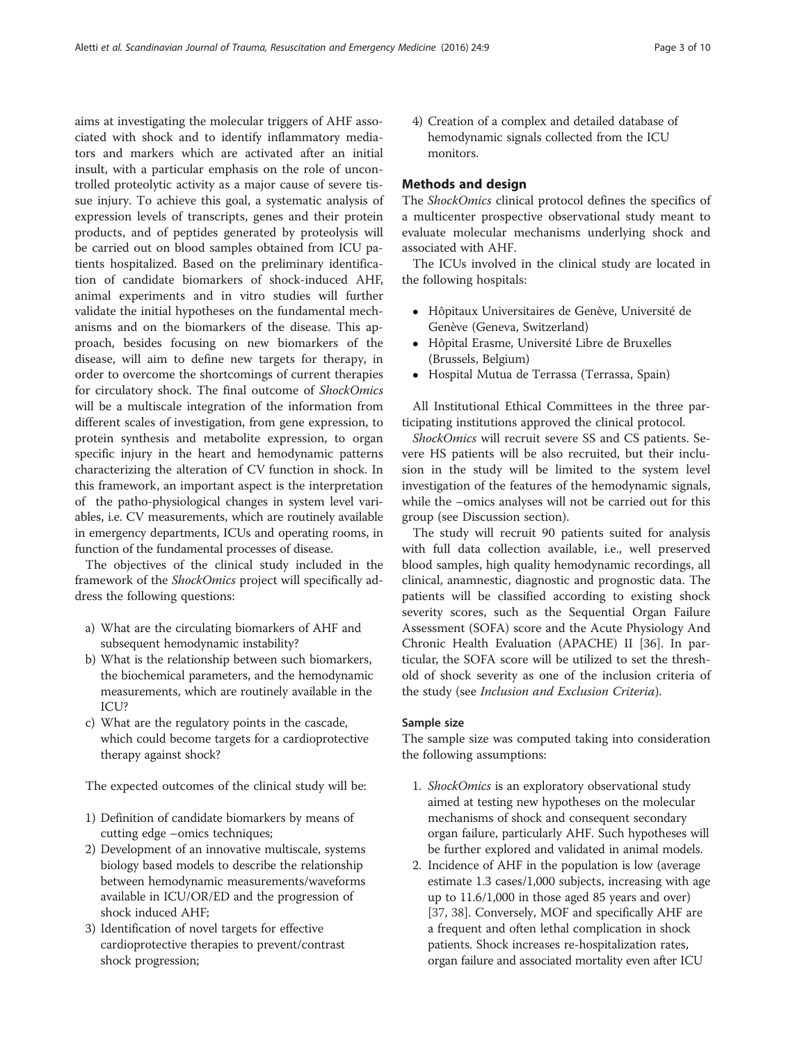aims at investigating the molecular triggers of AHF associated with shock and to identify inflammatory mediators and markers which are activated after an initial insult, with a particular emphasis on the role of uncontrolled proteolytic activity as a major cause of severe tissue injury. To achieve this goal, a systematic analysis of expression levels of transcripts, genes and their protein products, and of peptides generated by proteolysis will be carried out on blood samples obtained from ICU patients hospitalized. Based on the preliminary identification of candidate biomarkers of shock-induced AHF, animal experiments and in vitro studies will further validate the initial hypotheses on the fundamental mechanisms and on the biomarkers of the disease. This approach, besides focusing on new biomarkers of the disease, will aim to define new targets for therapy, in order to overcome the shortcomings of current therapies for circulatory shock. The final outcome of ShockOmics will be a multiscale integration of the information from different scales of investigation, from gene expression, to protein synthesis and metabolite expression, to organ specific injury in the heart and hemodynamic patterns characterizing the alteration of CV function in shock. In this framework, an important aspect is the interpretation of the patho-physiological changes in system level variables, i.e. CV measurements, which are routinely available in emergency departments, ICUs and operating rooms, in function of the fundamental processes of disease.

The objectives of the clinical study included in the framework of the ShockOmics project will specifically address the following questions:

- a) What are the circulating biomarkers of AHF and subsequent hemodynamic instability?
- b) What is the relationship between such biomarkers, the biochemical parameters, and the hemodynamic measurements, which are routinely available in the ICU?
- c) What are the regulatory points in the cascade, which could become targets for a cardioprotective therapy against shock?

The expected outcomes of the clinical study will be:

- 1) Definition of candidate biomarkers by means of cutting edge –omics techniques;
- 2) Development of an innovative multiscale, systems biology based models to describe the relationship between hemodynamic measurements/waveforms available in ICU/OR/ED and the progression of shock induced AHF;
- 3) Identification of novel targets for effective cardioprotective therapies to prevent/contrast shock progression;

4) Creation of a complex and detailed database of hemodynamic signals collected from the ICU monitors.

#### Methods and design

The ShockOmics clinical protocol defines the specifics of a multicenter prospective observational study meant to evaluate molecular mechanisms underlying shock and associated with AHF.

The ICUs involved in the clinical study are located in the following hospitals:

- Hôpitaux Universitaires de Genève, Université de Genève (Geneva, Switzerland)
- Hôpital Erasme, Université Libre de Bruxelles (Brussels, Belgium)
- Hospital Mutua de Terrassa (Terrassa, Spain)

All Institutional Ethical Committees in the three participating institutions approved the clinical protocol.

ShockOmics will recruit severe SS and CS patients. Severe HS patients will be also recruited, but their inclusion in the study will be limited to the system level investigation of the features of the hemodynamic signals, while the –omics analyses will not be carried out for this group (see [Discussion](#page-6-0) section).

The study will recruit 90 patients suited for analysis with full data collection available, i.e., well preserved blood samples, high quality hemodynamic recordings, all clinical, anamnestic, diagnostic and prognostic data. The patients will be classified according to existing shock severity scores, such as the Sequential Organ Failure Assessment (SOFA) score and the Acute Physiology And Chronic Health Evaluation (APACHE) II [[36\]](#page-9-0). In particular, the SOFA score will be utilized to set the threshold of shock severity as one of the inclusion criteria of the study (see Inclusion and Exclusion Criteria).

#### Sample size

The sample size was computed taking into consideration the following assumptions:

- 1. ShockOmics is an exploratory observational study aimed at testing new hypotheses on the molecular mechanisms of shock and consequent secondary organ failure, particularly AHF. Such hypotheses will be further explored and validated in animal models.
- 2. Incidence of AHF in the population is low (average estimate 1.3 cases/1,000 subjects, increasing with age up to 11.6/1,000 in those aged 85 years and over) [[37](#page-9-0), [38\]](#page-9-0). Conversely, MOF and specifically AHF are a frequent and often lethal complication in shock patients. Shock increases re-hospitalization rates, organ failure and associated mortality even after ICU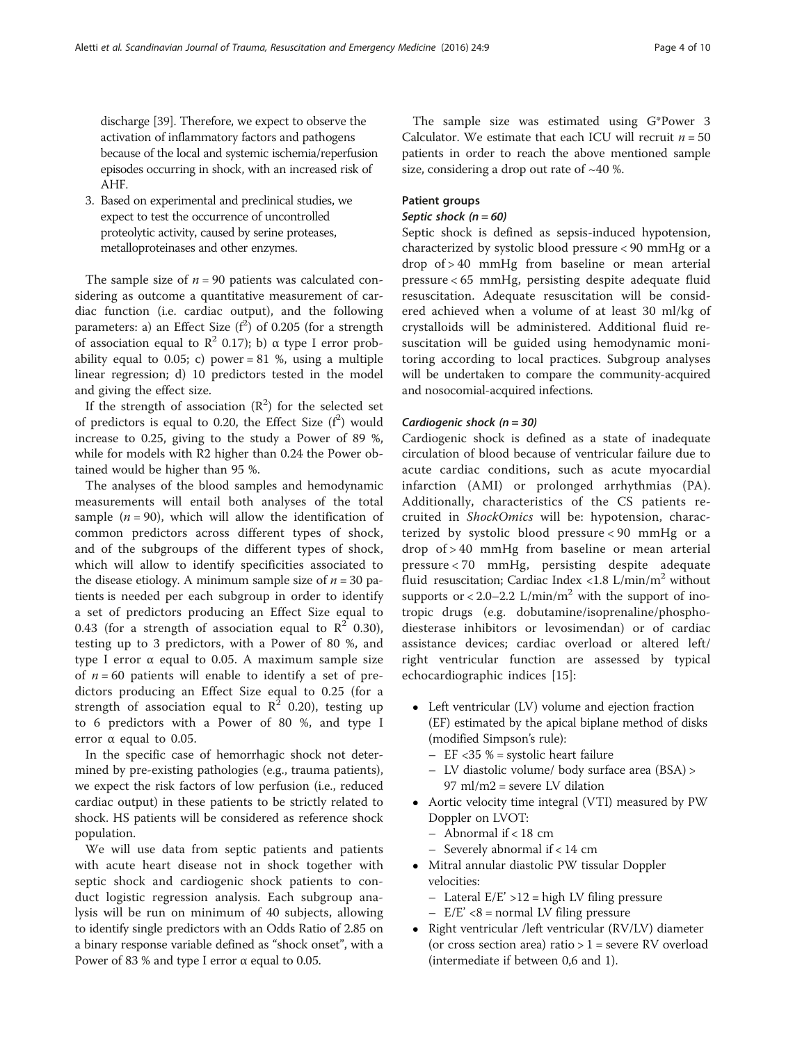discharge [\[39\]](#page-9-0). Therefore, we expect to observe the activation of inflammatory factors and pathogens because of the local and systemic ischemia/reperfusion episodes occurring in shock, with an increased risk of AHF.

3. Based on experimental and preclinical studies, we expect to test the occurrence of uncontrolled proteolytic activity, caused by serine proteases, metalloproteinases and other enzymes.

The sample size of  $n = 90$  patients was calculated considering as outcome a quantitative measurement of cardiac function (i.e. cardiac output), and the following parameters: a) an Effect Size  $(f^2)$  of 0.205 (for a strength of association equal to  $\mathbb{R}^2$  0.17); b)  $\alpha$  type I error probability equal to 0.05; c) power = 81 %, using a multiple linear regression; d) 10 predictors tested in the model and giving the effect size.

If the strength of association  $(R^2)$  for the selected set of predictors is equal to 0.20, the Effect Size  $(f^2)$  would increase to 0.25, giving to the study a Power of 89 %, while for models with R2 higher than 0.24 the Power obtained would be higher than 95 %.

The analyses of the blood samples and hemodynamic measurements will entail both analyses of the total sample  $(n = 90)$ , which will allow the identification of common predictors across different types of shock, and of the subgroups of the different types of shock, which will allow to identify specificities associated to the disease etiology. A minimum sample size of  $n = 30$  patients is needed per each subgroup in order to identify a set of predictors producing an Effect Size equal to 0.43 (for a strength of association equal to  $\mathbb{R}^2$  0.30), testing up to 3 predictors, with a Power of 80 %, and type I error α equal to 0.05. A maximum sample size of  $n = 60$  patients will enable to identify a set of predictors producing an Effect Size equal to 0.25 (for a strength of association equal to  $\mathbb{R}^2$  0.20), testing up to 6 predictors with a Power of 80 %, and type I error  $\alpha$  equal to 0.05.

In the specific case of hemorrhagic shock not determined by pre-existing pathologies (e.g., trauma patients), we expect the risk factors of low perfusion (i.e., reduced cardiac output) in these patients to be strictly related to shock. HS patients will be considered as reference shock population.

We will use data from septic patients and patients with acute heart disease not in shock together with septic shock and cardiogenic shock patients to conduct logistic regression analysis. Each subgroup analysis will be run on minimum of 40 subjects, allowing to identify single predictors with an Odds Ratio of 2.85 on a binary response variable defined as "shock onset", with a Power of 83 % and type I error  $\alpha$  equal to 0.05.

The sample size was estimated using G\*Power 3 Calculator. We estimate that each ICU will recruit  $n = 50$ patients in order to reach the above mentioned sample size, considering a drop out rate of  $~10$ %.

#### Patient groups

#### Septic shock  $(n = 60)$

Septic shock is defined as sepsis-induced hypotension, characterized by systolic blood pressure < 90 mmHg or a drop of > 40 mmHg from baseline or mean arterial pressure < 65 mmHg, persisting despite adequate fluid resuscitation. Adequate resuscitation will be considered achieved when a volume of at least 30 ml/kg of crystalloids will be administered. Additional fluid resuscitation will be guided using hemodynamic monitoring according to local practices. Subgroup analyses will be undertaken to compare the community-acquired and nosocomial-acquired infections.

#### Cardiogenic shock  $(n = 30)$

Cardiogenic shock is defined as a state of inadequate circulation of blood because of ventricular failure due to acute cardiac conditions, such as acute myocardial infarction (AMI) or prolonged arrhythmias (PA). Additionally, characteristics of the CS patients recruited in ShockOmics will be: hypotension, characterized by systolic blood pressure < 90 mmHg or a drop of > 40 mmHg from baseline or mean arterial pressure < 70 mmHg, persisting despite adequate fluid resuscitation; Cardiac Index <1.8  $L/min/m^2$  without supports or  $< 2.0 - 2.2$  L/min/m<sup>2</sup> with the support of inotropic drugs (e.g. dobutamine/isoprenaline/phosphodiesterase inhibitors or levosimendan) or of cardiac assistance devices; cardiac overload or altered left/ right ventricular function are assessed by typical echocardiographic indices [\[15](#page-8-0)]:

- Left ventricular (LV) volume and ejection fraction (EF) estimated by the apical biplane method of disks (modified Simpson's rule):
	- $-$  EF <35 % = systolic heart failure
	- LV diastolic volume/ body surface area (BSA) > 97 ml/m2 = severe LV dilation
- Aortic velocity time integral (VTI) measured by PW Doppler on LVOT:
	- Abnormal if < 18 cm
	- Severely abnormal if < 14 cm
- Mitral annular diastolic PW tissular Doppler velocities:
	- $-$  Lateral E/E' >12 = high LV filing pressure
	- $-$  E/E' <8 = normal LV filing pressure
- Right ventricular /left ventricular (RV/LV) diameter (or cross section area) ratio  $> 1$  = severe RV overload (intermediate if between 0,6 and 1).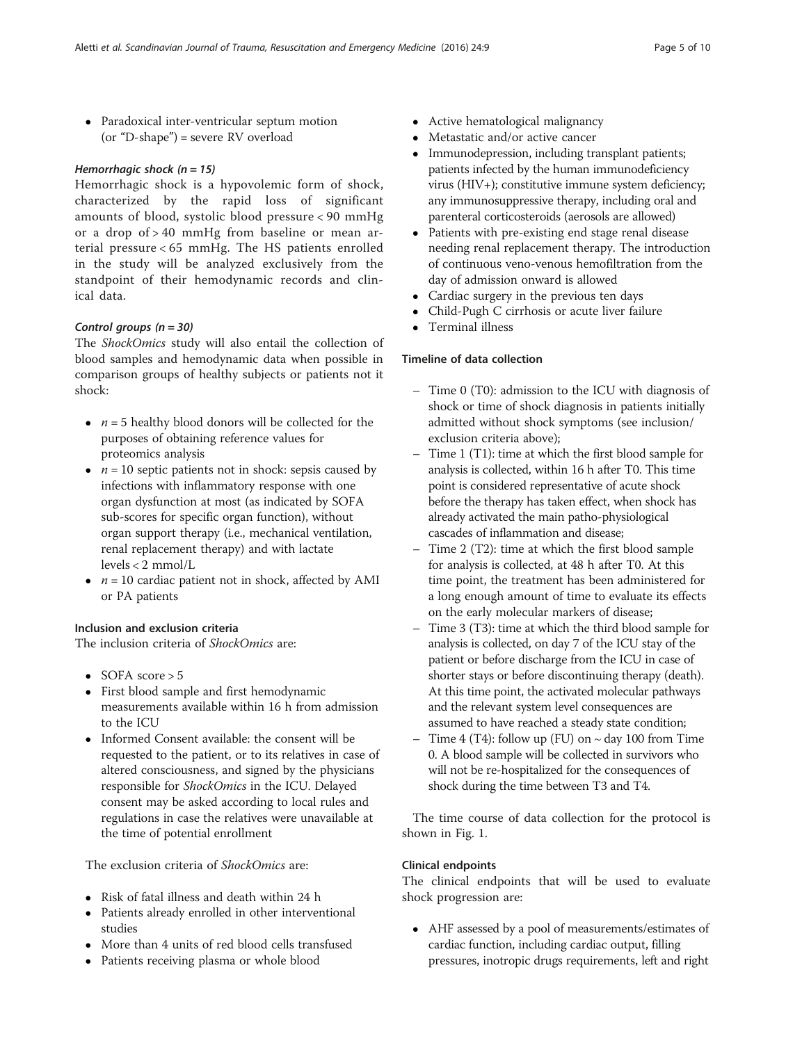Paradoxical inter-ventricular septum motion (or "D-shape") = severe RV overload

### Hemorrhagic shock  $(n = 15)$

Hemorrhagic shock is a hypovolemic form of shock, characterized by the rapid loss of significant amounts of blood, systolic blood pressure < 90 mmHg or a drop of > 40 mmHg from baseline or mean arterial pressure < 65 mmHg. The HS patients enrolled in the study will be analyzed exclusively from the standpoint of their hemodynamic records and clinical data.

## Control groups  $(n = 30)$

The ShockOmics study will also entail the collection of blood samples and hemodynamic data when possible in comparison groups of healthy subjects or patients not it shock:

- $n = 5$  healthy blood donors will be collected for the purposes of obtaining reference values for proteomics analysis
- $n = 10$  septic patients not in shock: sepsis caused by infections with inflammatory response with one organ dysfunction at most (as indicated by SOFA sub-scores for specific organ function), without organ support therapy (i.e., mechanical ventilation, renal replacement therapy) and with lactate levels < 2 mmol/L
- $n = 10$  cardiac patient not in shock, affected by AMI or PA patients

### Inclusion and exclusion criteria

The inclusion criteria of ShockOmics are:

- $\bullet$  SOFA score  $> 5$
- First blood sample and first hemodynamic measurements available within 16 h from admission to the ICU
- Informed Consent available: the consent will be requested to the patient, or to its relatives in case of altered consciousness, and signed by the physicians responsible for ShockOmics in the ICU. Delayed consent may be asked according to local rules and regulations in case the relatives were unavailable at the time of potential enrollment

The exclusion criteria of ShockOmics are:

- Risk of fatal illness and death within 24 h
- Patients already enrolled in other interventional studies
- More than 4 units of red blood cells transfused
- Patients receiving plasma or whole blood
- Active hematological malignancy
- Metastatic and/or active cancer
- Immunodepression, including transplant patients; patients infected by the human immunodeficiency virus (HIV+); constitutive immune system deficiency; any immunosuppressive therapy, including oral and parenteral corticosteroids (aerosols are allowed)
- Patients with pre-existing end stage renal disease needing renal replacement therapy. The introduction of continuous veno-venous hemofiltration from the day of admission onward is allowed
- Cardiac surgery in the previous ten days<br>• Child-Pugh C cirrhosis or acute liver fail
- Child-Pugh C cirrhosis or acute liver failure
- Terminal illness

## Timeline of data collection

- Time 0 (T0): admission to the ICU with diagnosis of shock or time of shock diagnosis in patients initially admitted without shock symptoms (see inclusion/ exclusion criteria above);
- Time 1 (T1): time at which the first blood sample for analysis is collected, within 16 h after T0. This time point is considered representative of acute shock before the therapy has taken effect, when shock has already activated the main patho-physiological cascades of inflammation and disease;
- Time 2 (T2): time at which the first blood sample for analysis is collected, at 48 h after T0. At this time point, the treatment has been administered for a long enough amount of time to evaluate its effects on the early molecular markers of disease;
- Time 3 (T3): time at which the third blood sample for analysis is collected, on day 7 of the ICU stay of the patient or before discharge from the ICU in case of shorter stays or before discontinuing therapy (death). At this time point, the activated molecular pathways and the relevant system level consequences are assumed to have reached a steady state condition;
- Time  $4$  (T4): follow up (FU) on  $\sim$  day 100 from Time 0. A blood sample will be collected in survivors who will not be re-hospitalized for the consequences of shock during the time between T3 and T4.

The time course of data collection for the protocol is shown in Fig. [1](#page-5-0).

### Clinical endpoints

The clinical endpoints that will be used to evaluate shock progression are:

 AHF assessed by a pool of measurements/estimates of cardiac function, including cardiac output, filling pressures, inotropic drugs requirements, left and right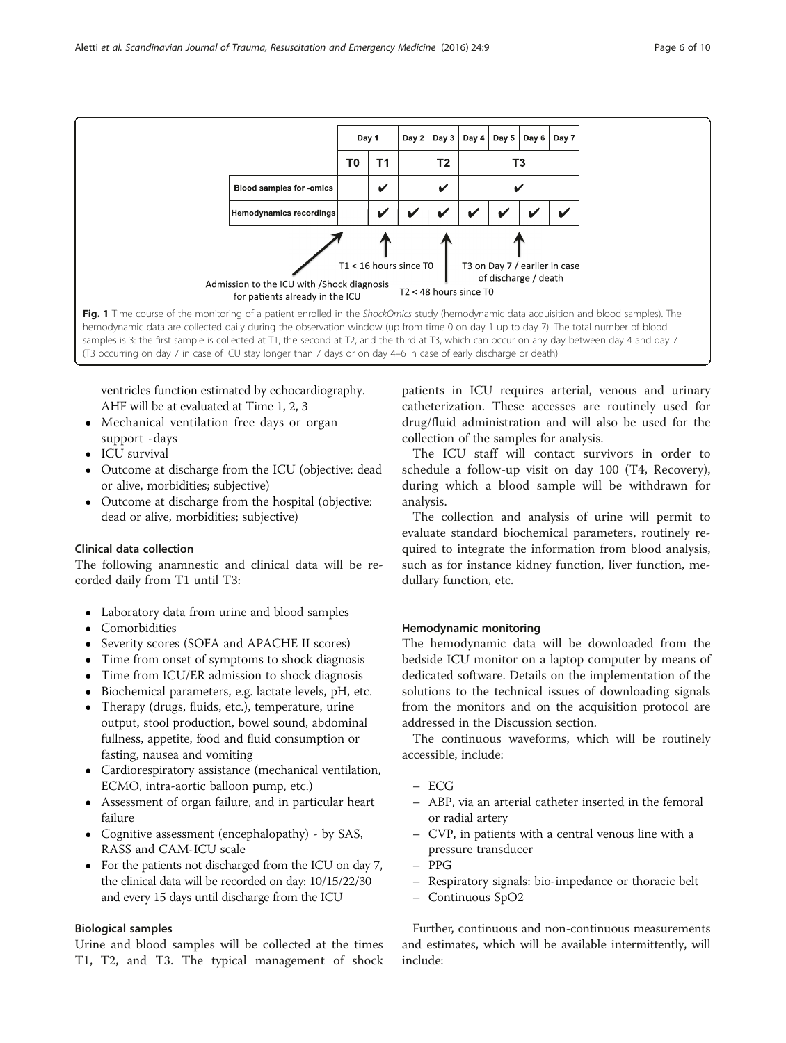<span id="page-5-0"></span>

ventricles function estimated by echocardiography. AHF will be at evaluated at Time 1, 2, 3

- Mechanical ventilation free days or organ support -days
- ICU survival
- Outcome at discharge from the ICU (objective: dead or alive, morbidities; subjective)
- Outcome at discharge from the hospital (objective: dead or alive, morbidities; subjective)

#### Clinical data collection

The following anamnestic and clinical data will be recorded daily from T1 until T3:

- Laboratory data from urine and blood samples
- Comorbidities
- Severity scores (SOFA and APACHE II scores)
- Time from onset of symptoms to shock diagnosis
- Time from ICU/ER admission to shock diagnosis
- Biochemical parameters, e.g. lactate levels, pH, etc.
- Therapy (drugs, fluids, etc.), temperature, urine output, stool production, bowel sound, abdominal fullness, appetite, food and fluid consumption or fasting, nausea and vomiting
- Cardiorespiratory assistance (mechanical ventilation, ECMO, intra-aortic balloon pump, etc.)
- Assessment of organ failure, and in particular heart failure
- Cognitive assessment (encephalopathy) by SAS, RASS and CAM-ICU scale
- For the patients not discharged from the ICU on day 7, the clinical data will be recorded on day: 10/15/22/30 and every 15 days until discharge from the ICU

#### Biological samples

Urine and blood samples will be collected at the times T1, T2, and T3. The typical management of shock

patients in ICU requires arterial, venous and urinary catheterization. These accesses are routinely used for drug/fluid administration and will also be used for the collection of the samples for analysis.

The ICU staff will contact survivors in order to schedule a follow-up visit on day 100 (T4, Recovery), during which a blood sample will be withdrawn for analysis.

The collection and analysis of urine will permit to evaluate standard biochemical parameters, routinely required to integrate the information from blood analysis, such as for instance kidney function, liver function, medullary function, etc.

#### Hemodynamic monitoring

The hemodynamic data will be downloaded from the bedside ICU monitor on a laptop computer by means of dedicated software. Details on the implementation of the solutions to the technical issues of downloading signals from the monitors and on the acquisition protocol are addressed in the [Discussion](#page-6-0) section.

The continuous waveforms, which will be routinely accessible, include:

- ECG
- ABP, via an arterial catheter inserted in the femoral or radial artery
- CVP, in patients with a central venous line with a pressure transducer
- PPG
- Respiratory signals: bio-impedance or thoracic belt
- Continuous SpO2

Further, continuous and non-continuous measurements and estimates, which will be available intermittently, will include: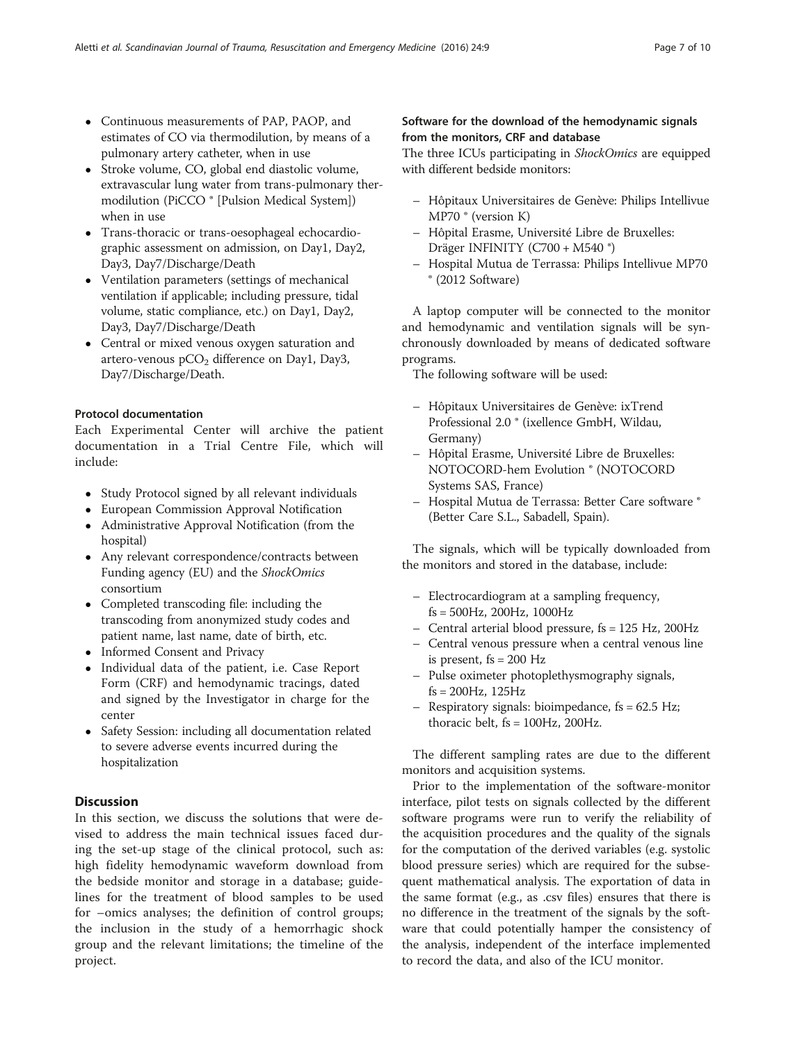- <span id="page-6-0"></span> Continuous measurements of PAP, PAOP, and estimates of CO via thermodilution, by means of a pulmonary artery catheter, when in use
- Stroke volume, CO, global end diastolic volume, extravascular lung water from trans-pulmonary thermodilution (PiCCO ® [Pulsion Medical System]) when in use
- Trans-thoracic or trans-oesophageal echocardiographic assessment on admission, on Day1, Day2, Day3, Day7/Discharge/Death
- Ventilation parameters (settings of mechanical ventilation if applicable; including pressure, tidal volume, static compliance, etc.) on Day1, Day2, Day3, Day7/Discharge/Death
- Central or mixed venous oxygen saturation and artero-venous  $pCO<sub>2</sub>$  difference on Day1, Day3, Day7/Discharge/Death.

### Protocol documentation

Each Experimental Center will archive the patient documentation in a Trial Centre File, which will include:

- Study Protocol signed by all relevant individuals
- European Commission Approval Notification
- Administrative Approval Notification (from the hospital)
- Any relevant correspondence/contracts between Funding agency (EU) and the ShockOmics consortium
- Completed transcoding file: including the transcoding from anonymized study codes and patient name, last name, date of birth, etc.
- Informed Consent and Privacy
- Individual data of the patient, i.e. Case Report Form (CRF) and hemodynamic tracings, dated and signed by the Investigator in charge for the center
- Safety Session: including all documentation related to severe adverse events incurred during the hospitalization

## Discussion

In this section, we discuss the solutions that were devised to address the main technical issues faced during the set-up stage of the clinical protocol, such as: high fidelity hemodynamic waveform download from the bedside monitor and storage in a database; guidelines for the treatment of blood samples to be used for –omics analyses; the definition of control groups; the inclusion in the study of a hemorrhagic shock group and the relevant limitations; the timeline of the project.

## Software for the download of the hemodynamic signals from the monitors, CRF and database

The three ICUs participating in ShockOmics are equipped with different bedside monitors:

- Hôpitaux Universitaires de Genève: Philips Intellivue MP70 ® (version K)
- Hôpital Erasme, Université Libre de Bruxelles: Dräger INFINITY (C700 + M540 ®)
- Hospital Mutua de Terrassa: Philips Intellivue MP70 ® (2012 Software)

A laptop computer will be connected to the monitor and hemodynamic and ventilation signals will be synchronously downloaded by means of dedicated software programs.

The following software will be used:

- Hôpitaux Universitaires de Genève: ixTrend Professional 2.0 ® (ixellence GmbH, Wildau, Germany)
- Hôpital Erasme, Université Libre de Bruxelles: NOTOCORD-hem Evolution ® (NOTOCORD Systems SAS, France)
- Hospital Mutua de Terrassa: Better Care software ® (Better Care S.L., Sabadell, Spain).

The signals, which will be typically downloaded from the monitors and stored in the database, include:

- Electrocardiogram at a sampling frequency, fs = 500Hz, 200Hz, 1000Hz
- Central arterial blood pressure, fs = 125 Hz, 200Hz
- Central venous pressure when a central venous line is present,  $fs = 200$  Hz
- Pulse oximeter photoplethysmography signals,  $fs = 200Hz$ ,  $125Hz$
- Respiratory signals: bioimpedance, fs = 62.5 Hz; thoracic belt, fs = 100Hz, 200Hz.

The different sampling rates are due to the different monitors and acquisition systems.

Prior to the implementation of the software-monitor interface, pilot tests on signals collected by the different software programs were run to verify the reliability of the acquisition procedures and the quality of the signals for the computation of the derived variables (e.g. systolic blood pressure series) which are required for the subsequent mathematical analysis. The exportation of data in the same format (e.g., as .csv files) ensures that there is no difference in the treatment of the signals by the software that could potentially hamper the consistency of the analysis, independent of the interface implemented to record the data, and also of the ICU monitor.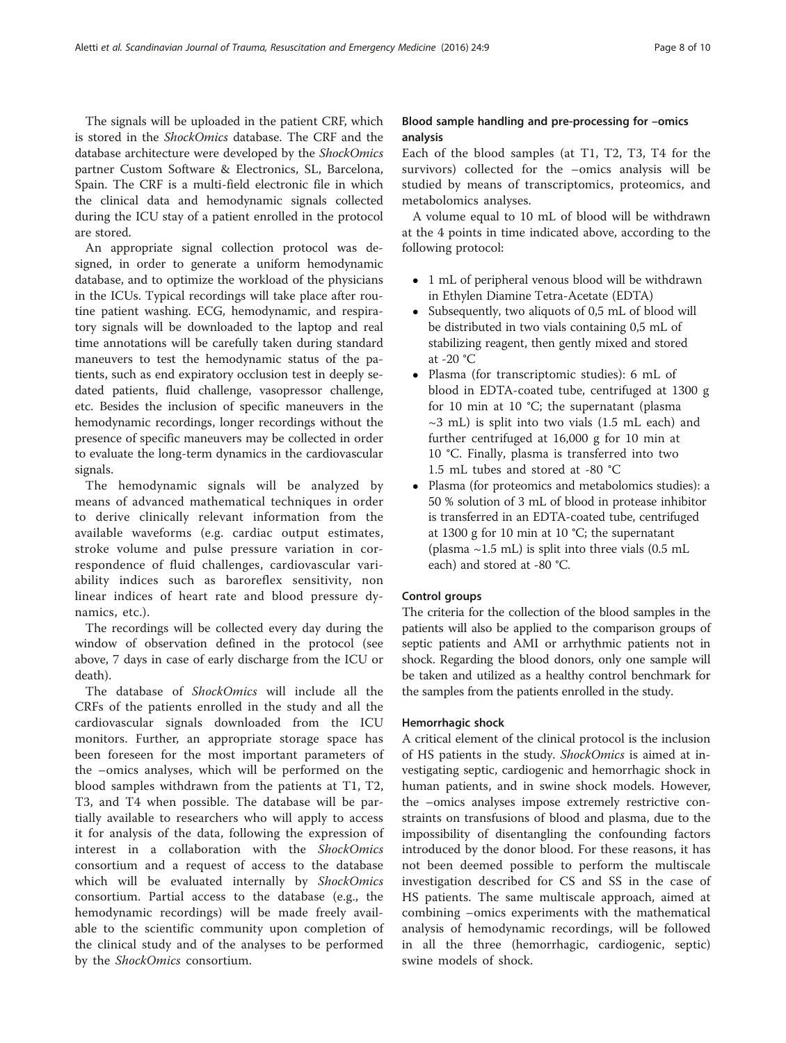The signals will be uploaded in the patient CRF, which is stored in the ShockOmics database. The CRF and the database architecture were developed by the ShockOmics partner Custom Software & Electronics, SL, Barcelona, Spain. The CRF is a multi-field electronic file in which the clinical data and hemodynamic signals collected during the ICU stay of a patient enrolled in the protocol are stored.

An appropriate signal collection protocol was designed, in order to generate a uniform hemodynamic database, and to optimize the workload of the physicians in the ICUs. Typical recordings will take place after routine patient washing. ECG, hemodynamic, and respiratory signals will be downloaded to the laptop and real time annotations will be carefully taken during standard maneuvers to test the hemodynamic status of the patients, such as end expiratory occlusion test in deeply sedated patients, fluid challenge, vasopressor challenge, etc. Besides the inclusion of specific maneuvers in the hemodynamic recordings, longer recordings without the presence of specific maneuvers may be collected in order to evaluate the long-term dynamics in the cardiovascular signals.

The hemodynamic signals will be analyzed by means of advanced mathematical techniques in order to derive clinically relevant information from the available waveforms (e.g. cardiac output estimates, stroke volume and pulse pressure variation in correspondence of fluid challenges, cardiovascular variability indices such as baroreflex sensitivity, non linear indices of heart rate and blood pressure dynamics, etc.).

The recordings will be collected every day during the window of observation defined in the protocol (see above, 7 days in case of early discharge from the ICU or death).

The database of ShockOmics will include all the CRFs of the patients enrolled in the study and all the cardiovascular signals downloaded from the ICU monitors. Further, an appropriate storage space has been foreseen for the most important parameters of the –omics analyses, which will be performed on the blood samples withdrawn from the patients at T1, T2, T3, and T4 when possible. The database will be partially available to researchers who will apply to access it for analysis of the data, following the expression of interest in a collaboration with the ShockOmics consortium and a request of access to the database which will be evaluated internally by ShockOmics consortium. Partial access to the database (e.g., the hemodynamic recordings) will be made freely available to the scientific community upon completion of the clinical study and of the analyses to be performed by the ShockOmics consortium.

## Blood sample handling and pre-processing for –omics analysis

Each of the blood samples (at T1, T2, T3, T4 for the survivors) collected for the –omics analysis will be studied by means of transcriptomics, proteomics, and metabolomics analyses.

A volume equal to 10 mL of blood will be withdrawn at the 4 points in time indicated above, according to the following protocol:

- 1 mL of peripheral venous blood will be withdrawn in Ethylen Diamine Tetra-Acetate (EDTA)
- Subsequently, two aliquots of 0,5 mL of blood will be distributed in two vials containing 0,5 mL of stabilizing reagent, then gently mixed and stored at -20 °C
- Plasma (for transcriptomic studies): 6 mL of blood in EDTA-coated tube, centrifuged at 1300 g for 10 min at 10 °C; the supernatant (plasma  $\sim$ 3 mL) is split into two vials (1.5 mL each) and further centrifuged at 16,000 g for 10 min at 10 °C. Finally, plasma is transferred into two 1.5 mL tubes and stored at -80 °C
- Plasma (for proteomics and metabolomics studies): a 50 % solution of 3 mL of blood in protease inhibitor is transferred in an EDTA-coated tube, centrifuged at 1300 g for 10 min at 10 °C; the supernatant (plasma  $\sim$ 1.5 mL) is split into three vials (0.5 mL) each) and stored at -80 °C.

#### Control groups

The criteria for the collection of the blood samples in the patients will also be applied to the comparison groups of septic patients and AMI or arrhythmic patients not in shock. Regarding the blood donors, only one sample will be taken and utilized as a healthy control benchmark for the samples from the patients enrolled in the study.

#### Hemorrhagic shock

A critical element of the clinical protocol is the inclusion of HS patients in the study. ShockOmics is aimed at investigating septic, cardiogenic and hemorrhagic shock in human patients, and in swine shock models. However, the –omics analyses impose extremely restrictive constraints on transfusions of blood and plasma, due to the impossibility of disentangling the confounding factors introduced by the donor blood. For these reasons, it has not been deemed possible to perform the multiscale investigation described for CS and SS in the case of HS patients. The same multiscale approach, aimed at combining –omics experiments with the mathematical analysis of hemodynamic recordings, will be followed in all the three (hemorrhagic, cardiogenic, septic) swine models of shock.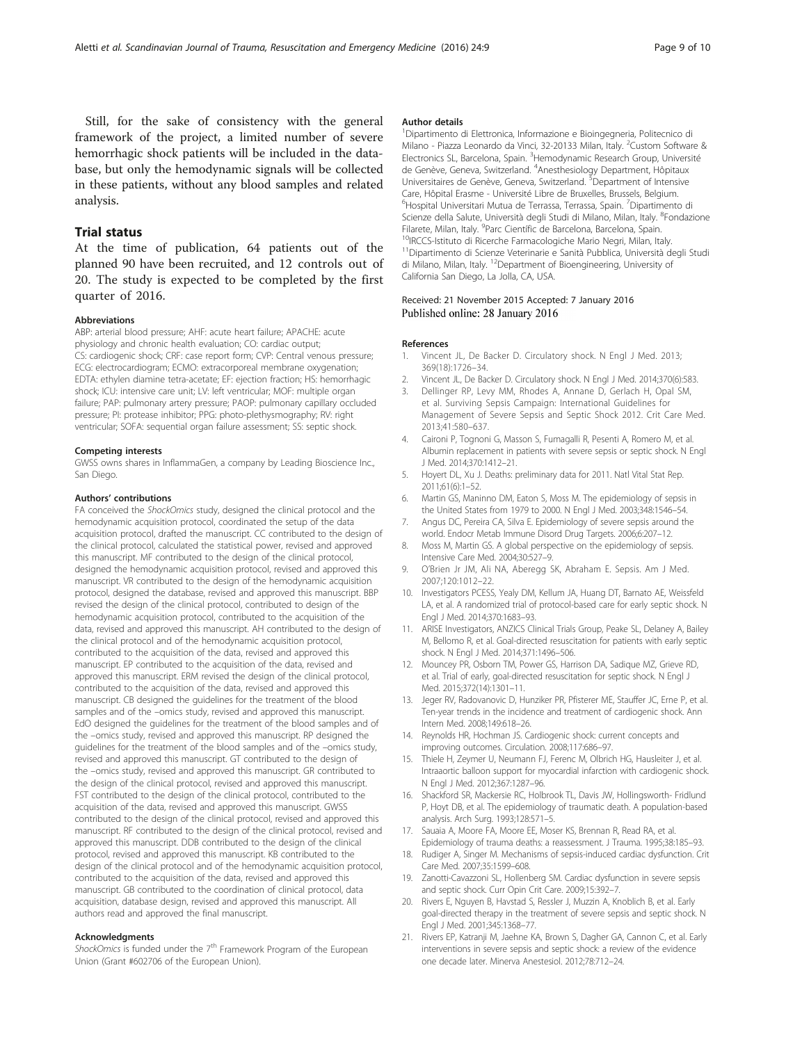<span id="page-8-0"></span>Still, for the sake of consistency with the general framework of the project, a limited number of severe hemorrhagic shock patients will be included in the database, but only the hemodynamic signals will be collected in these patients, without any blood samples and related analysis.

#### Trial status

At the time of publication, 64 patients out of the planned 90 have been recruited, and 12 controls out of 20. The study is expected to be completed by the first quarter of 2016.

#### Abbreviations

ABP: arterial blood pressure; AHF: acute heart failure; APACHE: acute physiology and chronic health evaluation; CO: cardiac output; CS: cardiogenic shock; CRF: case report form; CVP: Central venous pressure; ECG: electrocardiogram; ECMO: extracorporeal membrane oxygenation; EDTA: ethylen diamine tetra-acetate; EF: ejection fraction; HS: hemorrhagic shock; ICU: intensive care unit; LV: left ventricular; MOF: multiple organ failure; PAP: pulmonary artery pressure; PAOP: pulmonary capillary occluded pressure; PI: protease inhibitor; PPG: photo-plethysmography; RV: right ventricular; SOFA: sequential organ failure assessment; SS: septic shock.

#### Competing interests

GWSS owns shares in InflammaGen, a company by Leading Bioscience Inc., San Diego.

#### Authors' contributions

FA conceived the ShockOmics study, designed the clinical protocol and the hemodynamic acquisition protocol, coordinated the setup of the data acquisition protocol, drafted the manuscript. CC contributed to the design of the clinical protocol, calculated the statistical power, revised and approved this manuscript. MF contributed to the design of the clinical protocol, designed the hemodynamic acquisition protocol, revised and approved this manuscript. VR contributed to the design of the hemodynamic acquisition protocol, designed the database, revised and approved this manuscript. BBP revised the design of the clinical protocol, contributed to design of the hemodynamic acquisition protocol, contributed to the acquisition of the data, revised and approved this manuscript. AH contributed to the design of the clinical protocol and of the hemodynamic acquisition protocol, contributed to the acquisition of the data, revised and approved this manuscript. EP contributed to the acquisition of the data, revised and approved this manuscript. ERM revised the design of the clinical protocol, contributed to the acquisition of the data, revised and approved this manuscript. CB designed the guidelines for the treatment of the blood samples and of the –omics study, revised and approved this manuscript. EdO designed the guidelines for the treatment of the blood samples and of the –omics study, revised and approved this manuscript. RP designed the guidelines for the treatment of the blood samples and of the –omics study, revised and approved this manuscript. GT contributed to the design of the –omics study, revised and approved this manuscript. GR contributed to the design of the clinical protocol, revised and approved this manuscript. FST contributed to the design of the clinical protocol, contributed to the acquisition of the data, revised and approved this manuscript. GWSS contributed to the design of the clinical protocol, revised and approved this manuscript. RF contributed to the design of the clinical protocol, revised and approved this manuscript. DDB contributed to the design of the clinical protocol, revised and approved this manuscript. KB contributed to the design of the clinical protocol and of the hemodynamic acquisition protocol, contributed to the acquisition of the data, revised and approved this manuscript. GB contributed to the coordination of clinical protocol, data acquisition, database design, revised and approved this manuscript. All authors read and approved the final manuscript.

#### Acknowledgments

ShockOmics is funded under the 7<sup>th</sup> Framework Program of the European Union (Grant #602706 of the European Union).

#### Author details

1 Dipartimento di Elettronica, Informazione e Bioingegneria, Politecnico di Milano - Piazza Leonardo da Vinci, 32-20133 Milan, Italy. <sup>2</sup>Custom Software & Electronics SL, Barcelona, Spain. <sup>3</sup> Hemodynamic Research Group, Université de Genève, Geneva, Switzerland. <sup>4</sup> Anesthesiology Department, Hôpitaux Universitaires de Genève, Geneva, Switzerland. <sup>5</sup> Department of Intensive Care, Hôpital Erasme - Université Libre de Bruxelles, Brussels, Belgium. <sup>6</sup>Hospital Universitari Mutua de Terrassa, Terrassa, Spain. <sup>7</sup>Dipartimento di Scienze della Salute, Università degli Studi di Milano, Milan, Italy. <sup>8</sup>Fondazione Filarete, Milan, Italy. <sup>9</sup>Parc Científic de Barcelona, Barcelona, Spain. <sup>10</sup>IRCCS-Istituto di Ricerche Farmacologiche Mario Negri, Milan, Italy. <sup>11</sup>Dipartimento di Scienze Veterinarie e Sanità Pubblica, Università degli Studi di Milano, Milan, Italy. <sup>12</sup>Department of Bioengineering, University of California San Diego, La Jolla, CA, USA.

#### Received: 21 November 2015 Accepted: 7 January 2016 Published online: 28 January 2016

#### References

- 1. Vincent JL, De Backer D. Circulatory shock. N Engl J Med. 2013; 369(18):1726–34.
- 2. Vincent JL, De Backer D. Circulatory shock. N Engl J Med. 2014;370(6):583.
- 3. Dellinger RP, Levy MM, Rhodes A, Annane D, Gerlach H, Opal SM, et al. Surviving Sepsis Campaign: International Guidelines for Management of Severe Sepsis and Septic Shock 2012. Crit Care Med. 2013;41:580–637.
- 4. Caironi P, Tognoni G, Masson S, Fumagalli R, Pesenti A, Romero M, et al. Albumin replacement in patients with severe sepsis or septic shock. N Engl J Med. 2014;370:1412–21.
- 5. Hoyert DL, Xu J. Deaths: preliminary data for 2011. Natl Vital Stat Rep. 2011;61(6):1–52.
- 6. Martin GS, Maninno DM, Eaton S, Moss M. The epidemiology of sepsis in the United States from 1979 to 2000. N Engl J Med. 2003;348:1546–54.
- 7. Angus DC, Pereira CA, Silva E. Epidemiology of severe sepsis around the world. Endocr Metab Immune Disord Drug Targets. 2006;6:207–12.
- 8. Moss M, Martin GS. A global perspective on the epidemiology of sepsis. Intensive Care Med. 2004;30:527–9.
- 9. O'Brien Jr JM, Ali NA, Aberegg SK, Abraham E. Sepsis. Am J Med. 2007;120:1012–22.
- 10. Investigators PCESS, Yealy DM, Kellum JA, Huang DT, Barnato AE, Weissfeld LA, et al. A randomized trial of protocol-based care for early septic shock. N Engl J Med. 2014;370:1683–93.
- 11. ARISE Investigators, ANZICS Clinical Trials Group, Peake SL, Delaney A, Bailey M, Bellomo R, et al. Goal-directed resuscitation for patients with early septic shock. N Engl J Med. 2014;371:1496–506.
- 12. Mouncey PR, Osborn TM, Power GS, Harrison DA, Sadique MZ, Grieve RD, et al. Trial of early, goal-directed resuscitation for septic shock. N Engl J Med. 2015;372(14):1301–11.
- 13. Jeger RV, Radovanovic D, Hunziker PR, Pfisterer ME, Stauffer JC, Erne P, et al. Ten-year trends in the incidence and treatment of cardiogenic shock. Ann Intern Med. 2008;149:618–26.
- 14. Reynolds HR, Hochman JS. Cardiogenic shock: current concepts and improving outcomes. Circulation. 2008;117:686–97.
- 15. Thiele H, Zeymer U, Neumann FJ, Ferenc M, Olbrich HG, Hausleiter J, et al. Intraaortic balloon support for myocardial infarction with cardiogenic shock. N Engl J Med. 2012;367:1287–96.
- 16. Shackford SR, Mackersie RC, Holbrook TL, Davis JW, Hollingsworth- Fridlund P, Hoyt DB, et al. The epidemiology of traumatic death. A population-based analysis. Arch Surg. 1993;128:571–5.
- 17. Sauaia A, Moore FA, Moore EE, Moser KS, Brennan R, Read RA, et al. Epidemiology of trauma deaths: a reassessment. J Trauma. 1995;38:185–93.
- 18. Rudiger A, Singer M. Mechanisms of sepsis-induced cardiac dysfunction. Crit Care Med. 2007;35:1599–608.
- 19. Zanotti-Cavazzoni SL, Hollenberg SM. Cardiac dysfunction in severe sepsis and septic shock. Curr Opin Crit Care. 2009;15:392–7.
- 20. Rivers E, Nguyen B, Havstad S, Ressler J, Muzzin A, Knoblich B, et al. Early goal-directed therapy in the treatment of severe sepsis and septic shock. N Engl J Med. 2001;345:1368–77.
- 21. Rivers EP, Katranji M, Jaehne KA, Brown S, Dagher GA, Cannon C, et al. Early interventions in severe sepsis and septic shock: a review of the evidence one decade later. Minerva Anestesiol. 2012;78:712–24.